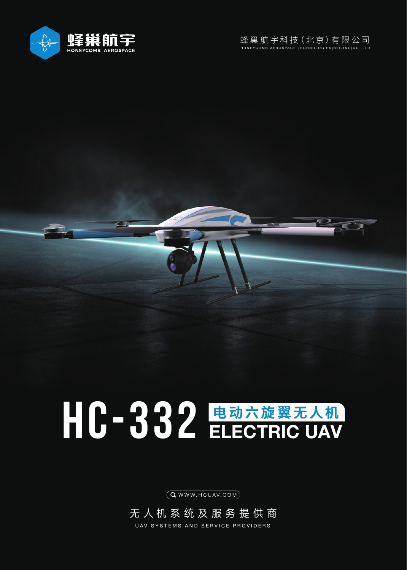



## HC-332 电动六旋翼无人机 ELECTRIC UAV

 $(Q$  WWW. HCUAV.COM $)$ 

无人机系统及服务提供商 UAV SYSTEMS AND SERVICE PROVIDERS